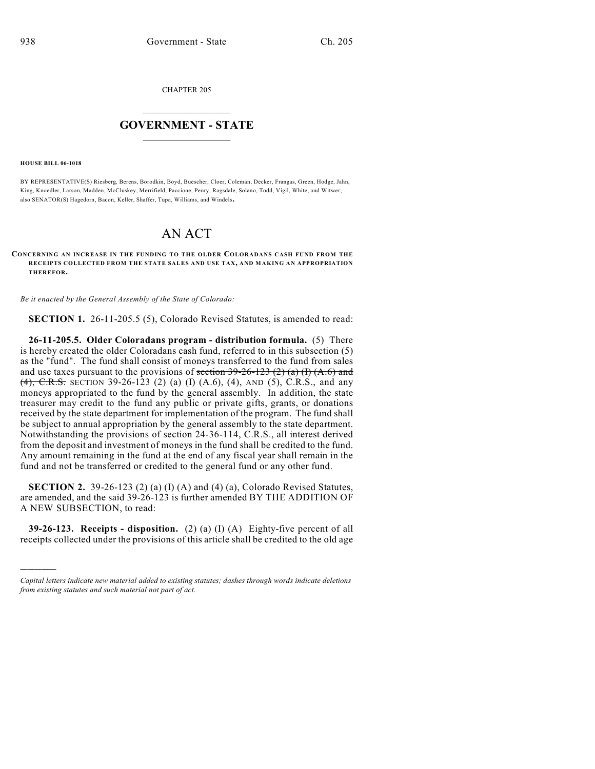CHAPTER 205

## $\overline{\phantom{a}}$  . The set of the set of the set of the set of the set of the set of the set of the set of the set of the set of the set of the set of the set of the set of the set of the set of the set of the set of the set o **GOVERNMENT - STATE**  $\_$

**HOUSE BILL 06-1018**

)))))

BY REPRESENTATIVE(S) Riesberg, Berens, Borodkin, Boyd, Buescher, Cloer, Coleman, Decker, Frangas, Green, Hodge, Jahn, King, Knoedler, Larson, Madden, McCluskey, Merrifield, Paccione, Penry, Ragsdale, Solano, Todd, Vigil, White, and Witwer; also SENATOR(S) Hagedorn, Bacon, Keller, Shaffer, Tupa, Williams, and Windels.

## AN ACT

## **CONCERNING AN INCREASE IN THE FUNDING TO THE OLDER COLORADANS CASH FUND FROM THE RECEIPTS COLLECTED FROM THE STATE SALES AND USE TAX, AND M AKING AN APPROPRIATION THEREFOR.**

*Be it enacted by the General Assembly of the State of Colorado:*

**SECTION 1.** 26-11-205.5 (5), Colorado Revised Statutes, is amended to read:

**26-11-205.5. Older Coloradans program - distribution formula.** (5) There is hereby created the older Coloradans cash fund, referred to in this subsection (5) as the "fund". The fund shall consist of moneys transferred to the fund from sales and use taxes pursuant to the provisions of section  $39-26-123$  (2) (a) (I) (A.6) and  $(4)$ , C.R.S. SECTION 39-26-123 (2) (a) (I) (A.6), (4), AND (5), C.R.S., and any moneys appropriated to the fund by the general assembly. In addition, the state treasurer may credit to the fund any public or private gifts, grants, or donations received by the state department for implementation of the program. The fund shall be subject to annual appropriation by the general assembly to the state department. Notwithstanding the provisions of section 24-36-114, C.R.S., all interest derived from the deposit and investment of moneys in the fund shall be credited to the fund. Any amount remaining in the fund at the end of any fiscal year shall remain in the fund and not be transferred or credited to the general fund or any other fund.

**SECTION 2.** 39-26-123 (2) (a) (I) (A) and (4) (a), Colorado Revised Statutes, are amended, and the said 39-26-123 is further amended BY THE ADDITION OF A NEW SUBSECTION, to read:

**39-26-123. Receipts - disposition.** (2) (a) (I) (A) Eighty-five percent of all receipts collected under the provisions of this article shall be credited to the old age

*Capital letters indicate new material added to existing statutes; dashes through words indicate deletions from existing statutes and such material not part of act.*